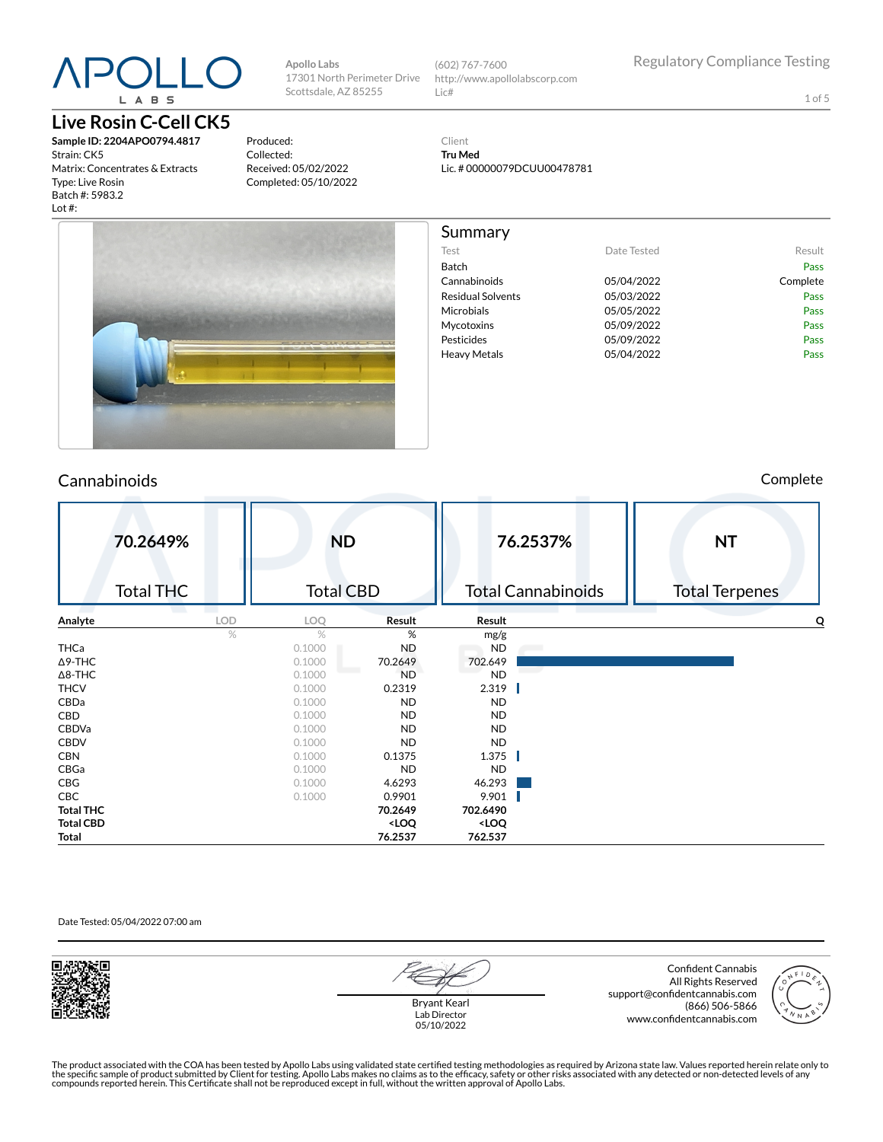# L A B S

### **Live Rosin C-Cell CK5**

**Sample ID: 2204APO0794.4817** Strain: CK5 Matrix: Concentrates & Extracts Type: Live Rosin Batch #: 5983.2 Lot #:

Produced: Collected: Received: 05/02/2022 Completed: 05/10/2022

**Apollo Labs**

Scottsdale, AZ 85255

17301 North Perimeter Drive (602) 767-7600 http://www.apollolabscorp.com Lic#

Test **Date Tested** Result Batch Pass Cannabinoids 05/04/2022 Complete Residual Solvents 05/03/2022 Pass Microbials **05/05/2022** Pass Mycotoxins 05/09/2022 Pass Pesticides **Pesticides Pass** Heavy Metals **DES** 05/04/2022 **Pass** 

1 of 5

Client **Tru Med** Lic. # 00000079DCUU00478781

Summary



#### Cannabinoids Complete

|                  | 70.2649%<br><b>Total THC</b> |      | <b>ND</b><br><b>Total CBD</b> |                                                          | 76.2537%<br><b>Total Cannabinoids</b> | <b>NT</b><br><b>Total Terpenes</b> |
|------------------|------------------------------|------|-------------------------------|----------------------------------------------------------|---------------------------------------|------------------------------------|
| Analyte          |                              | LOD  | LOQ                           | Result                                                   | Result                                | O                                  |
|                  |                              | $\%$ | $\%$                          | %                                                        | mg/g                                  |                                    |
| THCa             |                              |      | 0.1000                        | ND                                                       | <b>ND</b>                             |                                    |
| $\Delta$ 9-THC   |                              |      | 0.1000                        | 70.2649                                                  | 702.649                               |                                    |
| $\Delta$ 8-THC   |                              |      | 0.1000                        | <b>ND</b>                                                | <b>ND</b>                             |                                    |
| <b>THCV</b>      |                              |      | 0.1000                        | 0.2319                                                   | 2.319                                 |                                    |
| CBDa             |                              |      | 0.1000                        | ND                                                       | <b>ND</b>                             |                                    |
| CBD              |                              |      | 0.1000                        | ND                                                       | <b>ND</b>                             |                                    |
| CBDVa            |                              |      | 0.1000                        | <b>ND</b>                                                | <b>ND</b>                             |                                    |
| <b>CBDV</b>      |                              |      | 0.1000                        | ND                                                       | <b>ND</b>                             |                                    |
| <b>CBN</b>       |                              |      | 0.1000                        | 0.1375                                                   | 1.375                                 |                                    |
| CBGa             |                              |      | 0.1000                        | <b>ND</b>                                                | <b>ND</b>                             |                                    |
| CBG              |                              |      | 0.1000                        | 4.6293                                                   | 46.293                                |                                    |
| CBC              |                              |      | 0.1000                        | 0.9901                                                   | 9.901                                 |                                    |
| <b>Total THC</b> |                              |      |                               | 70.2649                                                  | 702.6490                              |                                    |
| <b>Total CBD</b> |                              |      |                               | <loq< td=""><td><loq< td=""><td></td></loq<></td></loq<> | <loq< td=""><td></td></loq<>          |                                    |
| Total            |                              |      |                               | 76.2537                                                  | 762.537                               |                                    |

Date Tested: 05/04/2022 07:00 am





Bryant Kearl Lab Director 05/10/2022

Confident Cannabis All Rights Reserved support@confidentcannabis.com (866) 506-5866 www.confidentcannabis.com



The product associated with the COA has been tested by Apollo Labs using validated state certified testing methodologies as required by Arizona state law. Values reported herein relate only to<br>the specific sample of produc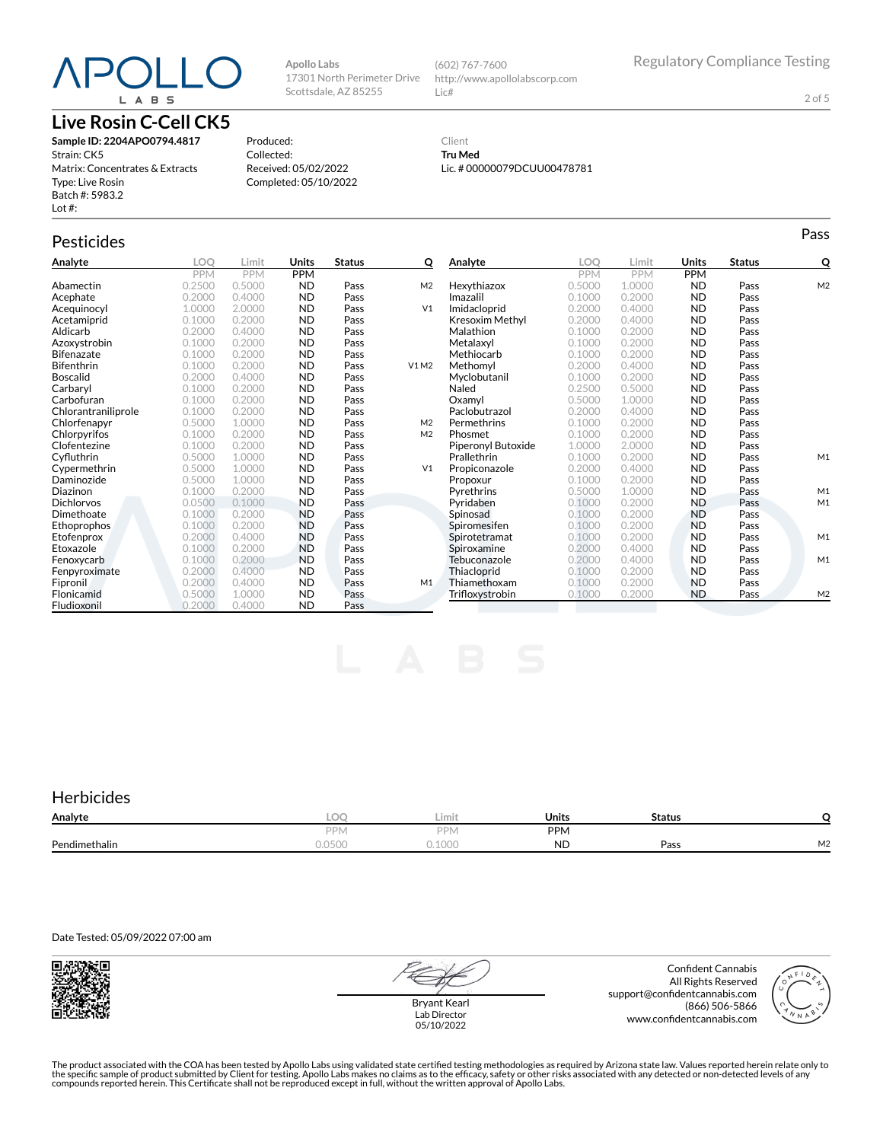## $P()$ L A B S

### **Live Rosin C-Cell CK5**

**Sample ID: 2204APO0794.4817** Strain: CK5 Matrix: Concentrates & Extracts Type: Live Rosin Batch #: 5983.2 Lot #:

Produced: Collected: Received: 05/02/2022 Completed: 05/10/2022

**Apollo Labs**

17301 North Perimeter Drive Scottsdale, AZ 85255

#### Client **Tru Med** Lic. # 00000079DCUU00478781

http://www.apollolabscorp.com

(602) 767-7600

Lic#

### Pesticides **Passage of the Contract of Contract Contract of Contract Contract Contract Contract Contract Contract Contract Contract Contract Contract Contract Contract Contract Contract Contract Contract Contract Contract**

| Analyte             | LOO        | Limit      | Units      | <b>Status</b> | Q              | Analyte            | LOO        | Limit      | <b>Units</b> | <b>Status</b> | Q              |
|---------------------|------------|------------|------------|---------------|----------------|--------------------|------------|------------|--------------|---------------|----------------|
|                     | <b>PPM</b> | <b>PPM</b> | <b>PPM</b> |               |                |                    | <b>PPM</b> | <b>PPM</b> | <b>PPM</b>   |               |                |
| Abamectin           | 0.2500     | 0.5000     | <b>ND</b>  | Pass          | M <sub>2</sub> | Hexythiazox        | 0.5000     | 1.0000     | <b>ND</b>    | Pass          | M <sub>2</sub> |
| Acephate            | 0.2000     | 0.4000     | <b>ND</b>  | Pass          |                | Imazalil           | 0.1000     | 0.2000     | <b>ND</b>    | Pass          |                |
| Acequinocyl         | 1.0000     | 2.0000     | <b>ND</b>  | Pass          | V <sub>1</sub> | Imidacloprid       | 0.2000     | 0.4000     | <b>ND</b>    | Pass          |                |
| Acetamiprid         | 0.1000     | 0.2000     | <b>ND</b>  | Pass          |                | Kresoxim Methyl    | 0.2000     | 0.4000     | <b>ND</b>    | Pass          |                |
| Aldicarb            | 0.2000     | 0.4000     | <b>ND</b>  | Pass          |                | Malathion          | 0.1000     | 0.2000     | <b>ND</b>    | Pass          |                |
| Azoxystrobin        | 0.1000     | 0.2000     | <b>ND</b>  | Pass          |                | Metalaxvl          | 0.1000     | 0.2000     | <b>ND</b>    | Pass          |                |
| <b>Bifenazate</b>   | 0.1000     | 0.2000     | <b>ND</b>  | Pass          |                | Methiocarb         | 0.1000     | 0.2000     | <b>ND</b>    | Pass          |                |
| <b>Bifenthrin</b>   | 0.1000     | 0.2000     | <b>ND</b>  | Pass          | V1M2           | Methomyl           | 0.2000     | 0.4000     | <b>ND</b>    | Pass          |                |
| <b>Boscalid</b>     | 0.2000     | 0.4000     | <b>ND</b>  | Pass          |                | Myclobutanil       | 0.1000     | 0.2000     | <b>ND</b>    | Pass          |                |
| Carbaryl            | 0.1000     | 0.2000     | <b>ND</b>  | Pass          |                | Naled              | 0.2500     | 0.5000     | <b>ND</b>    | Pass          |                |
| Carbofuran          | 0.1000     | 0.2000     | <b>ND</b>  | Pass          |                | Oxamvl             | 0.5000     | 1.0000     | <b>ND</b>    | Pass          |                |
| Chlorantraniliprole | 0.1000     | 0.2000     | <b>ND</b>  | Pass          |                | Paclobutrazol      | 0.2000     | 0.4000     | <b>ND</b>    | Pass          |                |
| Chlorfenapvr        | 0.5000     | 1.0000     | <b>ND</b>  | Pass          | M <sub>2</sub> | Permethrins        | 0.1000     | 0.2000     | <b>ND</b>    | Pass          |                |
| Chlorpyrifos        | 0.1000     | 0.2000     | <b>ND</b>  | Pass          | M <sub>2</sub> | Phosmet            | 0.1000     | 0.2000     | <b>ND</b>    | Pass          |                |
| Clofentezine        | 0.1000     | 0.2000     | <b>ND</b>  | Pass          |                | Piperonyl Butoxide | 1.0000     | 2.0000     | <b>ND</b>    | Pass          |                |
| Cyfluthrin          | 0.5000     | 1.0000     | <b>ND</b>  | Pass          |                | Prallethrin        | 0.1000     | 0.2000     | <b>ND</b>    | Pass          | M1             |
| Cypermethrin        | 0.5000     | 1.0000     | <b>ND</b>  | Pass          | V <sub>1</sub> | Propiconazole      | 0.2000     | 0.4000     | <b>ND</b>    | Pass          |                |
| Daminozide          | 0.5000     | 1.0000     | <b>ND</b>  | Pass          |                | Propoxur           | 0.1000     | 0.2000     | <b>ND</b>    | Pass          |                |
| Diazinon            | 0.1000     | 0.2000     | <b>ND</b>  | Pass          |                | Pyrethrins         | 0.5000     | 1.0000     | <b>ND</b>    | Pass          | M1             |
| <b>Dichlorvos</b>   | 0.0500     | 0.1000     | <b>ND</b>  | Pass          |                | Pyridaben          | 0.1000     | 0.2000     | <b>ND</b>    | Pass          | M1             |
| Dimethoate          | 0.1000     | 0.2000     | <b>ND</b>  | Pass          |                | Spinosad           | 0.1000     | 0.2000     | <b>ND</b>    | Pass          |                |
| Ethoprophos         | 0.1000     | 0.2000     | <b>ND</b>  | Pass          |                | Spiromesifen       | 0.1000     | 0.2000     | <b>ND</b>    | Pass          |                |
| Etofenprox          | 0.2000     | 0.4000     | <b>ND</b>  | Pass          |                | Spirotetramat      | 0.1000     | 0.2000     | <b>ND</b>    | Pass          | M1             |
| Etoxazole           | 0.1000     | 0.2000     | <b>ND</b>  | Pass          |                | Spiroxamine        | 0.2000     | 0.4000     | <b>ND</b>    | Pass          |                |
| Fenoxycarb          | 0.1000     | 0.2000     | <b>ND</b>  | Pass          |                | Tebuconazole       | 0.2000     | 0.4000     | <b>ND</b>    | Pass          | M1             |
| Fenpyroximate       | 0.2000     | 0.4000     | <b>ND</b>  | Pass          |                | Thiacloprid        | 0.1000     | 0.2000     | <b>ND</b>    | Pass          |                |
| Fipronil            | 0.2000     | 0.4000     | <b>ND</b>  | Pass          | M1             | Thiamethoxam       | 0.1000     | 0.2000     | <b>ND</b>    | Pass          |                |
| Flonicamid          | 0.5000     | 1.0000     | <b>ND</b>  | Pass          |                | Trifloxystrobin    | 0.1000     | 0.2000     | <b>ND</b>    | Pass          | M <sub>2</sub> |
| Fludioxonil         | 0.2000     | 0.4000     | <b>ND</b>  | Pass          |                |                    |            |            |              |               |                |

#### **Herbicides**

| Analyte       | $\sim$<br>- 100 | Limit           | <b>Units</b> | <b>Status</b> |    |
|---------------|-----------------|-----------------|--------------|---------------|----|
|               | <b>DDN</b>      | DPN.            | <b>PPM</b>   |               |    |
| Pendimethalin | 0.0500          | 1000<br>u. luuu | <b>ND</b>    | Pass          | M2 |

Date Tested: 05/09/2022 07:00 am



Bryant Kearl Lab Director 05/10/2022

Confident Cannabis All Rights Reserved support@confidentcannabis.com (866) 506-5866 www.confidentcannabis.com



The product associated with the COA has been tested by Apollo Labs using validated state certified testing methodologies as required by Arizona state law. Values reported herein relate only to<br>the specific sample of produc

2 of 5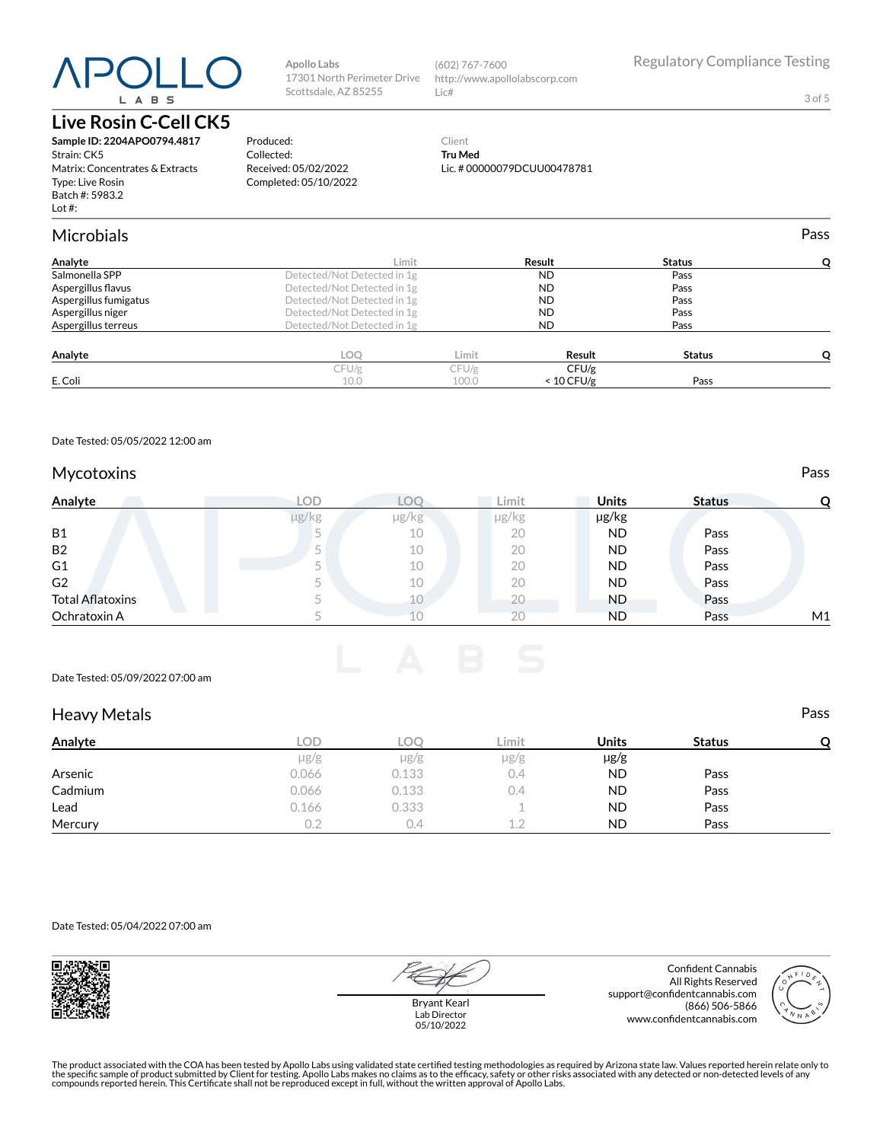# L A B S

#### **Live Rosin C-Cell CK5**

**Sample ID: 2204APO0794.4817** Strain: CK5 Matrix: Concentrates & Extracts Type: Live Rosin Batch #: 5983.2 Lot #:

#### **Apollo Labs** 17301 North Perimeter Drive Scottsdale, AZ 85255

Produced: Collected:

Received: 05/02/2022 Completed: 05/10/2022

(602) 767-7600 http://www.apollolabscorp.com Lic#

3 of 5

#### Client **Tru Med** Lic. # 00000079DCUU00478781

| <b>Microbials</b>     |                             |       |              |               | Pass |
|-----------------------|-----------------------------|-------|--------------|---------------|------|
| Analyte               | Limit                       |       | Result       | <b>Status</b> |      |
| Salmonella SPP        | Detected/Not Detected in 1g |       | <b>ND</b>    | Pass          |      |
| Aspergillus flavus    | Detected/Not Detected in 1g |       | <b>ND</b>    | Pass          |      |
| Aspergillus fumigatus | Detected/Not Detected in 1g |       | <b>ND</b>    | Pass          |      |
| Aspergillus niger     | Detected/Not Detected in 1g |       | <b>ND</b>    | Pass          |      |
| Aspergillus terreus   | Detected/Not Detected in 1g |       | <b>ND</b>    | Pass          |      |
| Analyte               | <b>LOO</b>                  | Limit | Result       | <b>Status</b> |      |
|                       | CFU/g                       | CFU/g | CFU/g        |               |      |
| E. Coli               | 10.0                        | 100.0 | $< 10$ CFU/g | Pass          |      |

Date Tested: 05/05/2022 12:00 am

#### Mycotoxins **Pass**

| Analyte                 | LOD   |       | Limit | <b>Units</b> | <b>Status</b> |    |
|-------------------------|-------|-------|-------|--------------|---------------|----|
|                         | µg/kg | µg/kg | µg/kg | µg/kg        |               |    |
| B1                      |       | 10    | 20    | ND           | Pass          |    |
| <b>B2</b>               |       | 10    | 20    | ND           | Pass          |    |
| G1                      |       | 10    | 20    | ND           | Pass          |    |
| G <sub>2</sub>          |       | 10    | 20    | ND           | Pass          |    |
| <b>Total Aflatoxins</b> |       | 10    | 20    | ND.          | Pass          |    |
| Ochratoxin A            |       |       | 20    | ND           | Pass          | M1 |

Date Tested: 05/09/2022 07:00 am

#### Heavy Metals **Pass**

| Analyte | LOD       | LOC       | Limit     | <b>Units</b> | <b>Status</b> |  |
|---------|-----------|-----------|-----------|--------------|---------------|--|
|         | $\mu$ g/g | $\mu$ g/g | $\mu$ g/g | $\mu$ g/g    |               |  |
| Arsenic | 0.066     | 0.133     | 0.4       | <b>ND</b>    | Pass          |  |
| Cadmium | 0.066     | 0.133     | 0.4       | <b>ND</b>    | Pass          |  |
| Lead    | 0.166     | 0.333     |           | <b>ND</b>    | Pass          |  |
| Mercury | 0.2       | 0.4       | 12        | ND           | Pass          |  |

Date Tested: 05/04/2022 07:00 am





Bryant Kearl Lab Director 05/10/2022

Confident Cannabis All Rights Reserved support@confidentcannabis.com (866) 506-5866 www.confidentcannabis.com



The product associated with the COA has been tested by Apollo Labs using validated state certified testing methodologies as required by Arizona state law. Values reported herein relate only to<br>the specific sample of produc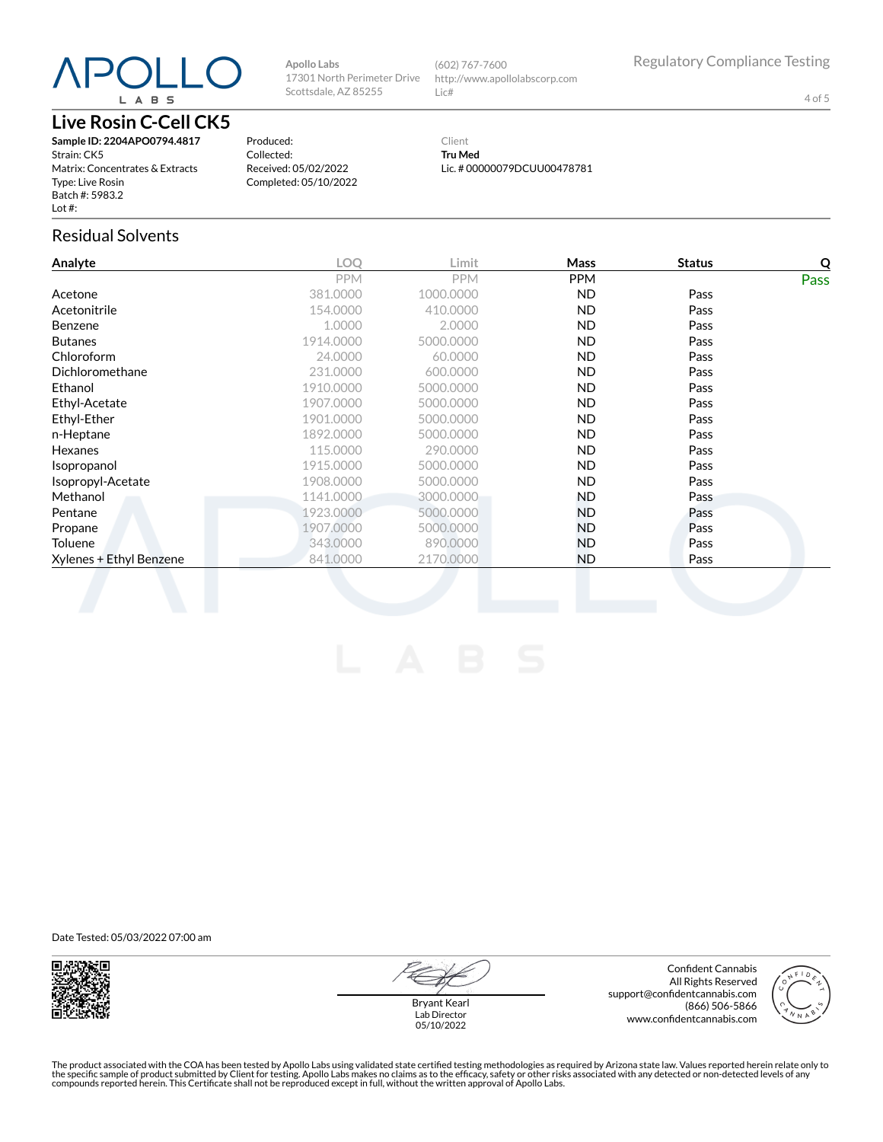# L A B S

#### **Live Rosin C-Cell CK5**

**Sample ID: 2204APO0794.4817** Strain: CK5 Matrix: Concentrates & Extracts Type: Live Rosin Batch #: 5983.2 Lot #:

Produced: Collected: Received: 05/02/2022 Completed: 05/10/2022

**Apollo Labs**

Client **Tru Med** Lic. # 00000079DCUU00478781

(602) 767-7600

Lic#

17301 North Perimeter Drive Scottsdale, AZ 85255

Residual Solvents

| Analyte                 | <b>LOO</b> | Limit      | Mass       | <b>Status</b> | Q    |
|-------------------------|------------|------------|------------|---------------|------|
|                         | <b>PPM</b> | <b>PPM</b> | <b>PPM</b> |               | Pass |
| Acetone                 | 381.0000   | 1000.0000  | <b>ND</b>  | Pass          |      |
| Acetonitrile            | 154.0000   | 410.0000   | ND.        | Pass          |      |
| <b>Benzene</b>          | 1.0000     | 2.0000     | ND.        | Pass          |      |
| <b>Butanes</b>          | 1914.0000  | 5000.0000  | ND.        | Pass          |      |
| Chloroform              | 24.0000    | 60.0000    | ND.        | Pass          |      |
| Dichloromethane         | 231.0000   | 600.0000   | ND.        | Pass          |      |
| Ethanol                 | 1910.0000  | 5000.0000  | ND.        | Pass          |      |
| Ethyl-Acetate           | 1907.0000  | 5000.0000  | ND.        | Pass          |      |
| Ethyl-Ether             | 1901.0000  | 5000.0000  | ND.        | Pass          |      |
| n-Heptane               | 1892.0000  | 5000.0000  | ND.        | Pass          |      |
| Hexanes                 | 115,0000   | 290,0000   | ND.        | Pass          |      |
| Isopropanol             | 1915.0000  | 5000.0000  | ND.        | Pass          |      |
| Isopropyl-Acetate       | 1908.0000  | 5000.0000  | ND.        | Pass          |      |
| Methanol                | 1141.0000  | 3000.0000  | ND.        | Pass          |      |
| Pentane                 | 1923.0000  | 5000.0000  | ND.        | Pass          |      |
| Propane                 | 1907.0000  | 5000.0000  | ND.        | Pass          |      |
| <b>Toluene</b>          | 343,0000   | 890,0000   | ND.        | Pass          |      |
| Xylenes + Ethyl Benzene | 841.0000   | 2170.0000  | ND.        | Pass          |      |
|                         |            |            |            |               |      |

Date Tested: 05/03/2022 07:00 am



Bryant Kearl Lab Director 05/10/2022

Confident Cannabis All Rights Reserved support@confidentcannabis.com (866) 506-5866 www.confidentcannabis.com



Regulatory Compliance Testing http://www.apollolabscorp.com

4 of 5

The product associated with the COA has been tested by Apollo Labs using validated state certified testing methodologies as required by Arizona state law. Values reported herein relate only to<br>the specific sample of produc